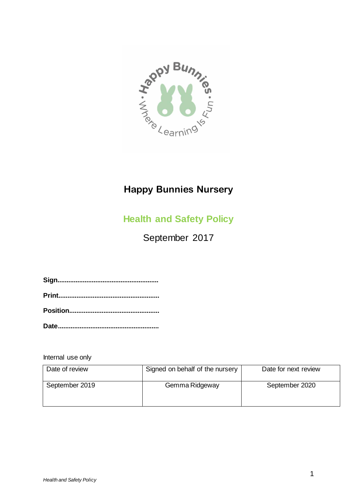

# **Happy Bunnies Nursery**

# **Health and Safety Policy**

September 2017

Internal use only

| Date of review | Signed on behalf of the nursery | Date for next review |
|----------------|---------------------------------|----------------------|
| September 2019 | Gemma Ridgeway                  | September 2020       |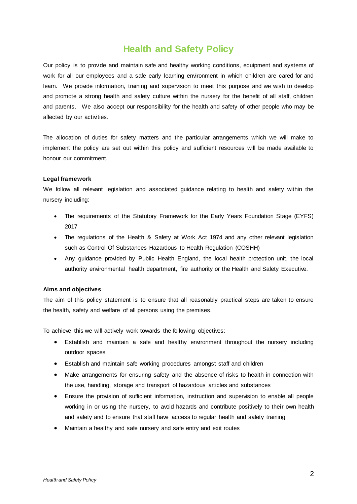# **Health and Safety Policy**

Our policy is to provide and maintain safe and healthy working conditions, equipment and systems of work for all our employees and a safe early learning environment in which children are cared for and learn. We provide information, training and supervision to meet this purpose and we wish to develop and promote a strong health and safety culture within the nursery for the benefit of all staff, children and parents. We also accept our responsibility for the health and safety of other people who may be affected by our activities.

The allocation of duties for safety matters and the particular arrangements which we will make to implement the policy are set out within this policy and sufficient resources will be made available to honour our commitment.

# **Legal framework**

We follow all relevant legislation and associated guidance relating to health and safety within the nursery including:

- The requirements of the Statutory Framework for the Early Years Foundation Stage (EYFS) 2017
- The regulations of the Health & Safety at Work Act 1974 and any other relevant legislation such as Control Of Substances Hazardous to Health Regulation (COSHH)
- Any guidance provided by Public Health England, the local health protection unit, the local authority environmental health department, fire authority or the Health and Safety Executive.

# **Aims and objectives**

The aim of this policy statement is to ensure that all reasonably practical steps are taken to ensure the health, safety and welfare of all persons using the premises.

To achieve this we will actively work towards the following objectives:

- Establish and maintain a safe and healthy environment throughout the nursery including outdoor spaces
- Establish and maintain safe working procedures amongst staff and children
- Make arrangements for ensuring safety and the absence of risks to health in connection with the use, handling, storage and transport of hazardous articles and substances
- Ensure the provision of sufficient information, instruction and supervision to enable all people working in or using the nursery, to avoid hazards and contribute positively to their own health and safety and to ensure that staff have access to regular health and safety training
- Maintain a healthy and safe nursery and safe entry and exit routes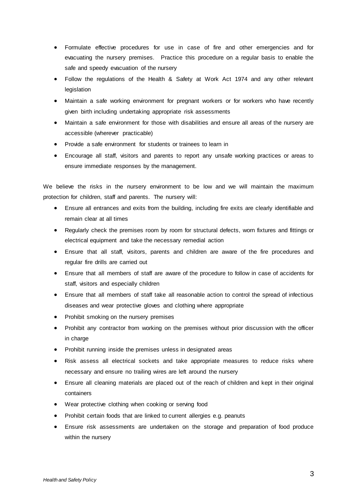- Formulate effective procedures for use in case of fire and other emergencies and for evacuating the nursery premises. Practice this procedure on a regular basis to enable the safe and speedy evacuation of the nursery
- Follow the regulations of the Health & Safety at Work Act 1974 and any other relevant legislation
- Maintain a safe working environment for pregnant workers or for workers who have recently given birth including undertaking appropriate risk assessments
- Maintain a safe environment for those with disabilities and ensure all areas of the nursery are accessible (wherever practicable)
- Provide a safe environment for students or trainees to learn in
- Encourage all staff, visitors and parents to report any unsafe working practices or areas to ensure immediate responses by the management.

We believe the risks in the nursery environment to be low and we will maintain the maximum protection for children, staff and parents. The nursery will:

- Ensure all entrances and exits from the building, including fire exits are clearly identifiable and remain clear at all times
- Regularly check the premises room by room for structural defects, worn fixtures and fittings or electrical equipment and take the necessary remedial action
- Ensure that all staff, visitors, parents and children are aware of the fire procedures and regular fire drills are carried out
- Ensure that all members of staff are aware of the procedure to follow in case of accidents for staff, visitors and especially children
- Ensure that all members of staff take all reasonable action to control the spread of infectious diseases and wear protective gloves and clothing where appropriate
- Prohibit smoking on the nursery premises
- Prohibit any contractor from working on the premises without prior discussion with the officer in charge
- Prohibit running inside the premises unless in designated areas
- Risk assess all electrical sockets and take appropriate measures to reduce risks where necessary and ensure no trailing wires are left around the nursery
- Ensure all cleaning materials are placed out of the reach of children and kept in their original containers
- Wear protective clothing when cooking or serving food
- Prohibit certain foods that are linked to current allergies e.g. peanuts
- Ensure risk assessments are undertaken on the storage and preparation of food produce within the nursery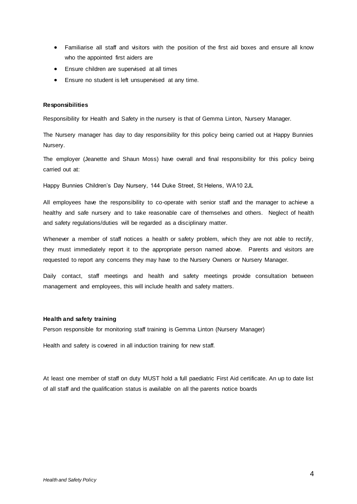- Familiarise all staff and visitors with the position of the first aid boxes and ensure all know who the appointed first aiders are
- Ensure children are supervised at all times
- Ensure no student is left unsupervised at any time.

#### **Responsibilities**

Responsibility for Health and Safety in the nursery is that of Gemma Linton, Nursery Manager.

The Nursery manager has day to day responsibility for this policy being carried out at Happy Bunnies Nursery.

The employer (Jeanette and Shaun Moss) have overall and final responsibility for this policy being carried out at:

Happy Bunnies Children's Day Nursery, 144 Duke Street, St Helens, WA10 2JL

All employees have the responsibility to co-operate with senior staff and the manager to achieve a healthy and safe nursery and to take reasonable care of themselves and others. Neglect of health and safety regulations/duties will be regarded as a disciplinary matter.

Whenever a member of staff notices a health or safety problem, which they are not able to rectify, they must immediately report it to the appropriate person named above. Parents and visitors are requested to report any concerns they may have to the Nursery Owners or Nursery Manager.

Daily contact, staff meetings and health and safety meetings provide consultation between management and employees, this will include health and safety matters.

#### **Health and safety training**

Person responsible for monitoring staff training is Gemma Linton (Nursery Manager)

Health and safety is covered in all induction training for new staff.

At least one member of staff on duty MUST hold a full paediatric First Aid certificate. An up to date list of all staff and the qualification status is available on all the parents notice boards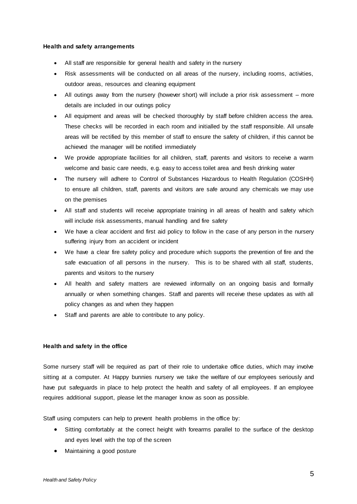#### **Health and safety arrangements**

- All staff are responsible for general health and safety in the nursery
- Risk assessments will be conducted on all areas of the nursery, including rooms, activities, outdoor areas, resources and cleaning equipment
- All outings away from the nursery (however short) will include a prior risk assessment more details are included in our outings policy
- All equipment and areas will be checked thoroughly by staff before children access the area. These checks will be recorded in each room and initialled by the staff responsible. All unsafe areas will be rectified by this member of staff to ensure the safety of children, if this cannot be achieved the manager will be notified immediately
- We provide appropriate facilities for all children, staff, parents and visitors to receive a warm welcome and basic care needs, e.g. easy to access toilet area and fresh drinking water
- The nursery will adhere to Control of Substances Hazardous to Health Regulation (COSHH) to ensure all children, staff, parents and visitors are safe around any chemicals we may use on the premises
- All staff and students will receive appropriate training in all areas of health and safety which will include risk assessments, manual handling and fire safety
- We have a clear accident and first aid policy to follow in the case of any person in the nursery suffering injury from an accident or incident
- We have a clear fire safety policy and procedure which supports the prevention of fire and the safe evacuation of all persons in the nursery. This is to be shared with all staff, students, parents and visitors to the nursery
- All health and safety matters are reviewed informally on an ongoing basis and formally annually or when something changes. Staff and parents will receive these updates as with all policy changes as and when they happen
- Staff and parents are able to contribute to any policy.

# **Health and safety in the office**

Some nursery staff will be required as part of their role to undertake office duties, which may involve sitting at a computer. At Happy bunnies nursery we take the welfare of our employees seriously and have put safeguards in place to help protect the health and safety of all employees. If an employee requires additional support, please let the manager know as soon as possible.

Staff using computers can help to prevent health problems in the office by:

- Sitting comfortably at the correct height with forearms parallel to the surface of the desktop and eyes level with the top of the screen
- Maintaining a good posture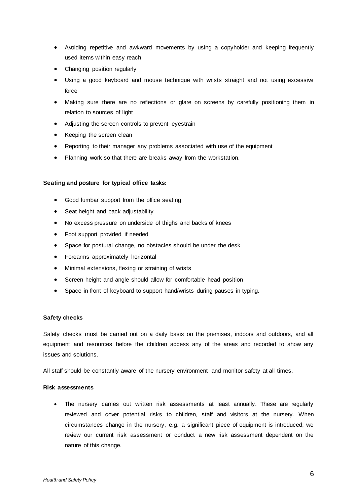- Avoiding repetitive and awkward movements by using a copyholder and keeping frequently used items within easy reach
- Changing position regularly
- Using a good keyboard and mouse technique with wrists straight and not using excessive force
- Making sure there are no reflections or glare on screens by carefully positioning them in relation to sources of light
- Adjusting the screen controls to prevent eyestrain
- Keeping the screen clean
- Reporting to their manager any problems associated with use of the equipment
- Planning work so that there are breaks away from the workstation.

# **Seating and posture for typical office tasks:**

- Good lumbar support from the office seating
- Seat height and back adjustability
- No excess pressure on underside of thighs and backs of knees
- Foot support provided if needed
- Space for postural change, no obstacles should be under the desk
- Forearms approximately horizontal
- Minimal extensions, flexing or straining of wrists
- Screen height and angle should allow for comfortable head position
- Space in front of keyboard to support hand/wrists during pauses in typing.

# **Safety checks**

Safety checks must be carried out on a daily basis on the premises, indoors and outdoors, and all equipment and resources before the children access any of the areas and recorded to show any issues and solutions.

All staff should be constantly aware of the nursery environment and monitor safety at all times.

# **Risk assessments**

• The nursery carries out written risk assessments at least annually. These are regularly reviewed and cover potential risks to children, staff and visitors at the nursery. When circumstances change in the nursery, e.g. a significant piece of equipment is introduced; we review our current risk assessment or conduct a new risk assessment dependent on the nature of this change.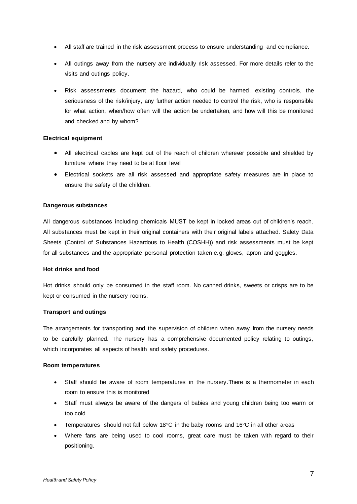- All staff are trained in the risk assessment process to ensure understanding and compliance.
- All outings away from the nursery are individually risk assessed. For more details refer to the visits and outings policy.
- Risk assessments document the hazard, who could be harmed, existing controls, the seriousness of the risk/injury, any further action needed to control the risk, who is responsible for what action, when/how often will the action be undertaken, and how will this be monitored and checked and by whom?

# **Electrical equipment**

- All electrical cables are kept out of the reach of children wherever possible and shielded by furniture where they need to be at floor level
- Electrical sockets are all risk assessed and appropriate safety measures are in place to ensure the safety of the children.

#### **Dangerous substances**

All dangerous substances including chemicals MUST be kept in locked areas out of children's reach. All substances must be kept in their original containers with their original labels attached. Safety Data Sheets (Control of Substances Hazardous to Health (COSHH)) and risk assessments must be kept for all substances and the appropriate personal protection taken e.g. gloves, apron and goggles.

#### **Hot drinks and food**

Hot drinks should only be consumed in the staff room. No canned drinks, sweets or crisps are to be kept or consumed in the nursery rooms.

#### **Transport and outings**

The arrangements for transporting and the supervision of children when away from the nursery needs to be carefully planned. The nursery has a comprehensive documented policy relating to outings, which incorporates all aspects of health and safety procedures.

#### **Room temperatures**

- Staff should be aware of room temperatures in the nursery.There is a thermometer in each room to ensure this is monitored
- Staff must always be aware of the dangers of babies and young children being too warm or too cold
- Temperatures should not fall below 18°C in the baby rooms and 16°C in all other areas
- Where fans are being used to cool rooms, great care must be taken with regard to their positioning.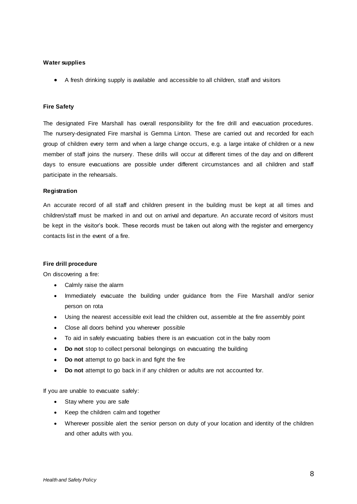# **Water supplies**

A fresh drinking supply is available and accessible to all children, staff and visitors

#### **Fire Safety**

The designated Fire Marshall has overall responsibility for the fire drill and evacuation procedures. The nursery-designated Fire marshal is Gemma Linton. These are carried out and recorded for each group of children every term and when a large change occurs, e.g. a large intake of children or a new member of staff joins the nursery. These drills will occur at different times of the day and on different days to ensure evacuations are possible under different circumstances and all children and staff participate in the rehearsals.

#### **Registration**

An accurate record of all staff and children present in the building must be kept at all times and children/staff must be marked in and out on arrival and departure. An accurate record of visitors must be kept in the visitor's book. These records must be taken out along with the register and emergency contacts list in the event of a fire.

#### **Fire drill procedure**

On discovering a fire:

- Calmly raise the alarm
- Immediately evacuate the building under guidance from the Fire Marshall and/or senior person on rota
- Using the nearest accessible exit lead the children out, assemble at the fire assembly point
- Close all doors behind you wherever possible
- To aid in safely evacuating babies there is an evacuation cot in the baby room
- **Do not** stop to collect personal belongings on evacuating the building
- **•** Do not attempt to go back in and fight the fire
- **Do not** attempt to go back in if any children or adults are not accounted for.

If you are unable to evacuate safely:

- Stay where you are safe
- Keep the children calm and together
- Wherever possible alert the senior person on duty of your location and identity of the children and other adults with you.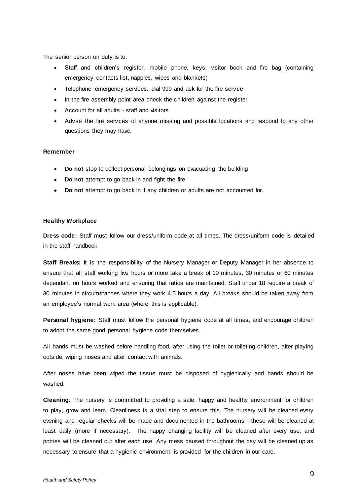The senior person on duty is to:

- Staff and children's register, mobile phone, keys, visitor book and fire bag (containing emergency contacts list, nappies, wipes and blankets)
- Telephone emergency services: dial 999 and ask for the fire service
- In the fire assembly point area check the children against the register
- Account for all adults staff and visitors
- Advise the fire services of anyone missing and possible locations and respond to any other questions they may have.

#### **Remember**

- **Do not** stop to collect personal belongings on evacuating the building
- **•** Do not attempt to go back in and fight the fire
- **Do not** attempt to go back in if any children or adults are not accounted for.

#### **Healthy Workplace**

**Dress code:** Staff must follow our dress/uniform code at all times. The dress/uniform code is detailed in the staff handbook

**Staff Breaks:** It is the responsibility of the Nursery Manager or Deputy Manager in her absence to ensure that all staff working five hours or more take a break of 10 minutes, 30 minutes or 60 minutes dependant on hours worked and ensuring that ratios are maintained. Staff under 18 require a break of 30 minutes in circumstances where they work 4.5 hours a day. All breaks should be taken away from an employee's normal work area (where this is applicable).

**Personal hygiene:** Staff must follow the personal hygiene code at all times, and encourage children to adopt the same good personal hygiene code themselves.

All hands must be washed before handling food, after using the toilet or toileting children, after playing outside, wiping noses and after contact with animals.

After noses have been wiped the tissue must be disposed of hygienically and hands should be washed.

**Cleaning**: The nursery is committed to providing a safe, happy and healthy environment for children to play, grow and learn. Cleanliness is a vital step to ensure this. The nursery will be cleaned every evening and regular checks will be made and documented in the bathrooms - these will be cleaned at least daily (more if necessary). The nappy changing facility will be cleaned after every use, and potties will be cleaned out after each use. Any mess caused throughout the day will be cleaned up as necessary to ensure that a hygienic environment is provided for the children in our care.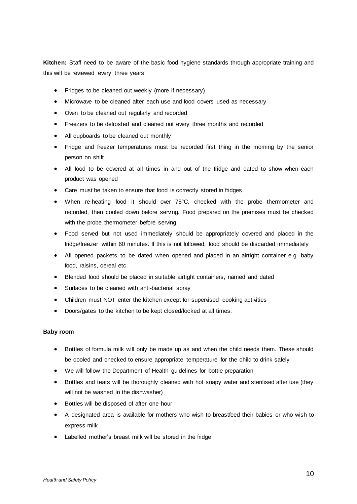**Kitchen:** Staff need to be aware of the basic food hygiene standards through appropriate training and this will be reviewed every three years.

- Fridges to be cleaned out weekly (more if necessary)
- Microwave to be cleaned after each use and food covers used as necessary
- Oven to be cleaned out regularly and recorded
- Freezers to be defrosted and cleaned out every three months and recorded
- All cupboards to be cleaned out monthly
- Fridge and freezer temperatures must be recorded first thing in the morning by the senior person on shift
- All food to be covered at all times in and out of the fridge and dated to show when each product was opened
- Care must be taken to ensure that food is correctly stored in fridges
- When re-heating food it should over 75°C, checked with the probe thermometer and recorded, then cooled down before serving. Food prepared on the premises must be checked with the probe thermometer before serving
- Food served but not used immediately should be appropriately covered and placed in the fridge/freezer within 60 minutes. If this is not followed, food should be discarded immediately
- All opened packets to be dated when opened and placed in an airtight container e.g. baby food, raisins, cereal etc.
- Blended food should be placed in suitable airtight containers, named and dated
- Surfaces to be cleaned with anti-bacterial spray
- Children must NOT enter the kitchen except for supervised cooking activities
- Doors/gates to the kitchen to be kept closed/locked at all times.

# **Baby room**

- Bottles of formula milk will only be made up as and when the child needs them. These should be cooled and checked to ensure appropriate temperature for the child to drink safely
- We will follow the Department of Health guidelines for bottle preparation
- Bottles and teats will be thoroughly cleaned with hot soapy water and sterilised after use (they will not be washed in the dishwasher)
- Bottles will be disposed of after one hour
- A designated area is available for mothers who wish to breastfeed their babies or who wish to express milk
- Labelled mother's breast milk will be stored in the fridge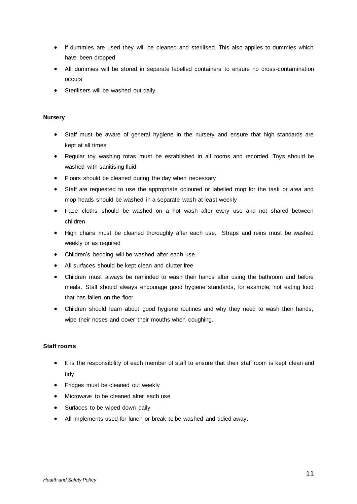- If dummies are used they will be cleaned and sterilised. This also applies to dummies which have been dropped
- All dummies will be stored in separate labelled containers to ensure no cross-contamination occurs
- Sterilisers will be washed out daily.

# **Nursery**

- Staff must be aware of general hygiene in the nursery and ensure that high standards are kept at all times
- Regular toy washing rotas must be established in all rooms and recorded. Toys should be washed with sanitising fluid
- Floors should be cleaned during the day when necessary
- Staff are requested to use the appropriate coloured or labelled mop for the task or area and mop heads should be washed in a separate wash at least weekly
- Face cloths should be washed on a hot wash after every use and not shared between children
- High chairs must be cleaned thoroughly after each use. Straps and reins must be washed weekly or as required
- Children's bedding will be washed after each use.
- All surfaces should be kept clean and clutter free
- Children must always be reminded to wash their hands after using the bathroom and before meals. Staff should always encourage good hygiene standards, for example, not eating food that has fallen on the floor
- Children should learn about good hygiene routines and why they need to wash their hands, wipe their noses and cover their mouths when coughing.

# **Staff rooms**

- It is the responsibility of each member of staff to ensure that their staff room is kept clean and tidy
- Fridges must be cleaned out weekly
- Microwave to be cleaned after each use
- Surfaces to be wiped down daily
- All implements used for lunch or break to be washed and tidied away.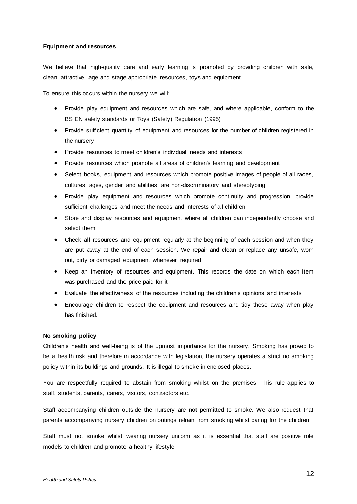# **Equipment and resources**

We believe that high-quality care and early learning is promoted by providing children with safe, clean, attractive, age and stage appropriate resources, toys and equipment.

To ensure this occurs within the nursery we will:

- Provide play equipment and resources which are safe, and where applicable, conform to the BS EN safety standards or Toys (Safety) Regulation (1995)
- Provide sufficient quantity of equipment and resources for the number of children registered in the nursery
- Provide resources to meet children's individual needs and interests
- Provide resources which promote all areas of children's learning and development
- Select books, equipment and resources which promote positive images of people of all races, cultures, ages, gender and abilities, are non-discriminatory and stereotyping
- Provide play equipment and resources which promote continuity and progression, provide sufficient challenges and meet the needs and interests of all children
- Store and display resources and equipment where all children can independently choose and select them
- Check all resources and equipment regularly at the beginning of each session and when they are put away at the end of each session. We repair and clean or replace any unsafe, worn out, dirty or damaged equipment whenever required
- Keep an inventory of resources and equipment. This records the date on which each item was purchased and the price paid for it
- Evaluate the effectiveness of the resources including the children's opinions and interests
- Encourage children to respect the equipment and resources and tidy these away when play has finished.

#### **No smoking policy**

Children's health and well-being is of the upmost importance for the nursery. Smoking has proved to be a health risk and therefore in accordance with legislation, the nursery operates a strict no smoking policy within its buildings and grounds. It is illegal to smoke in enclosed places.

You are respectfully required to abstain from smoking whilst on the premises. This rule applies to staff, students, parents, carers, visitors, contractors etc.

Staff accompanying children outside the nursery are not permitted to smoke. We also request that parents accompanying nursery children on outings refrain from smoking whilst caring for the children.

Staff must not smoke whilst wearing nursery uniform as it is essential that staff are positive role models to children and promote a healthy lifestyle.